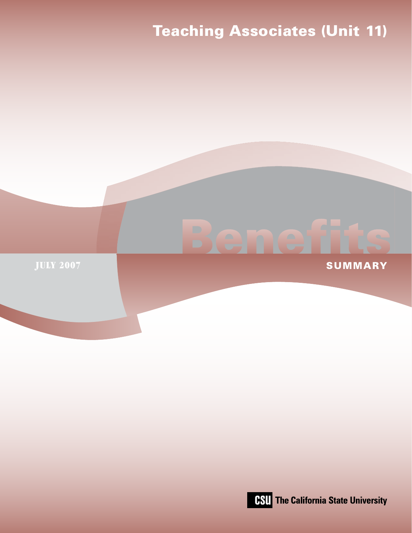# Teaching Associates (Unit 11)



July 2007

**SUMMARY** 

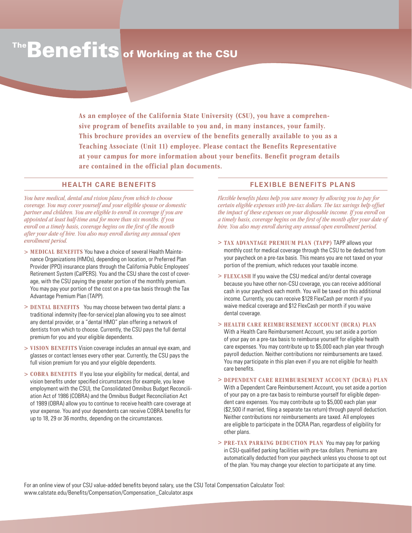# The **Benefits** of Working at the CSU

As an employee of the California State University (CSU), you have a comprehensive program of benefits available to you and, in many instances, your family. This brochure provides an overview of the benefits generally available to you as a Teaching Associate (Unit 11) employee. Please contact the Benefits Representative at your campus for more information about your benefits. Benefit program details are contained in the official plan documents.

#### **HealtH caRe Benefits**

*You have medical, dental and vision plans from which to choose coverage. You may cover yourself and your eligible spouse or domestic partner and children. You are eligible to enroll in coverage if you are appointed at least half-time and for more than six months. If you enroll on a timely basis, coverage begins on the first of the month after your date of hire. You also may enroll during any annual open enrollment period.* 

- > MEDICAL BENEFITS You have a choice of several Health Maintenance Organizations (HMOs), depending on location, or Preferred Plan Provider (PPO) insurance plans through the California Public Employees' Retirement System (CalPERS). You and the CSU share the cost of coverage, with the CSU paying the greater portion of the monthly premium. You may pay your portion of the cost on a pre-tax basis through the Tax Advantage Premium Plan (TAPP).
- > DENTAL BENEFITS You may choose between two dental plans: a traditional indemnity (fee-for-service) plan allowing you to see almost any dental provider, or a "dental HMO" plan offering a network of dentists from which to choose. Currently, the CSU pays the full dental premium for you and your eligible dependents.
- > VISION BENEFITS Vision coverage includes an annual eye exam, and glasses or contact lenses every other year. Currently, the CSU pays the full vision premium for you and your eligible dependents.
- > COBRA BENEFITS If you lose your eligibility for medical, dental, and vision benefits under specified circumstances (for example, you leave employment with the CSU), the Consolidated Omnibus Budget Reconciliation Act of 1986 (COBRA) and the Omnibus Budget Reconciliation Act of 1989 (OBRA) allow you to continue to receive health care coverage at your expense. You and your dependents can receive COBRA benefits for up to 18, 29 or 36 months, depending on the circumstances.

#### **FLEXIBLE BENEFITS PLANS**

*Flexible benefits plans help you save money by allowing you to pay for certain eligible expenses with pre-tax dollars. The tax savings help offset the impact of these expenses on your disposable income. If you enroll on a timely basis, coverage begins on the first of the month after your date of hire. You also may enroll during any annual open enrollment period.*

- > TAX ADVANTAGE PREMIUM PLAN (TAPP) TAPP allows your monthly cost for medical coverage through the CSU to be deducted from your paycheck on a pre-tax basis. This means you are not taxed on your portion of the premium, which reduces your taxable income.
- > FLEXCASH If you waive the CSU medical and/or dental coverage because you have other non-CSU coverage, you can receive additional cash in your paycheck each month. You will be taxed on this additional income. Currently, you can receive \$128 FlexCash per month if you waive medical coverage and \$12 FlexCash per month if you waive dental coverage.
- > HEALTH CARE REIMBURSEMENT ACCOUNT (HCRA) PLAN With a Health Care Reimbursement Account, you set aside a portion of your pay on a pre-tax basis to reimburse yourself for eligible health care expenses. You may contribute up to \$5,000 each plan year through payroll deduction. Neither contributions nor reimbursements are taxed. You may participate in this plan even if you are not eligible for health care benefits.
- > DEPENDENT CARE REIMBURSEMENT ACCOUNT (DCRA) PLAN With a Dependent Care Reimbursement Account, you set aside a portion of your pay on a pre-tax basis to reimburse yourself for eligible dependent care expenses. You may contribute up to \$5,000 each plan year (\$2,500 if married, filing a separate tax return) through payroll deduction. Neither contributions nor reimbursements are taxed. All employees are eligible to participate in the DCRA Plan, regardless of eligibility for other plans.
- > PRE-TAX PARKING DEDUCTION PLAN You may pay for parking in CSU-qualified parking facilities with pre-tax dollars. Premiums are automatically deducted from your paycheck unless you choose to opt out of the plan. You may change your election to participate at any time.

For an online view of your CSU value-added benefits beyond salary, use the CSU Total Compensation Calculator Tool: www.calstate.edu/Benefits/Compensation/Compensation\_Calculator.aspx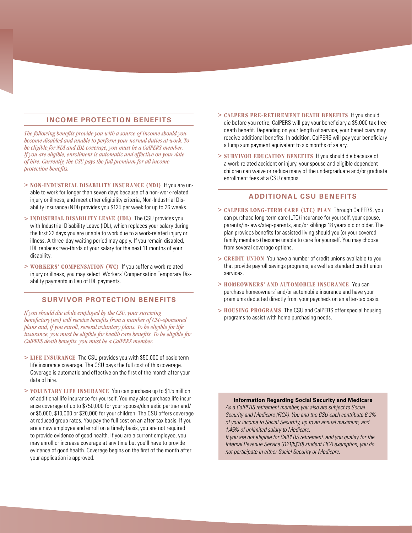### **INCOME PROTECTION BENEFITS**

*The following benefits provide you with a source of income should you become disabled and unable to perform your normal duties at work. To be eligible for NDI and IDL coverage, you must be a CalPERS member. If you are eligible, enrollment is automatic and effective on your date of hire. Currently, the CSU pays the full premium for all income protection benefits.*

- > NON-INDUSTRIAL DISABILITY INSURANCE (NDI) If you are unable to work for longer than seven days because of a non-work-related injury or illness, and meet other eligibility criteria, Non-Industrial Disability Insurance (NDI) provides you \$125 per week for up to 26 weeks.
- > INDUSTRIAL DISABILITY LEAVE (IDL) The CSU provides you with Industrial Disability Leave (IDL), which replaces your salary during the first 22 days you are unable to work due to a work-related injury or illness. A three-day waiting period may apply. If you remain disabled, IDL replaces two-thirds of your salary for the next 11 months of your disability.
- > WORKERS' COMPENSATION (WC) If you suffer a work-related injury or illness, you may select Workers' Compensation Temporary Disability payments in lieu of IDL payments.

# **SURVIVOR PROTECTION BENEFITS**

*If you should die while employed by the CSU, your surviving beneficiary(ies) will receive benefits from a number of CSU-sponsored plans and, if you enroll, several voluntary plans. To be eligible for life insurance, you must be eligible for health care benefits. To be eligible for CalPERS death benefits, you must be a CalPERS member.*

- > LIFE INSURANCE The CSU provides you with \$50,000 of basic term life insurance coverage. The CSU pays the full cost of this coverage. Coverage is automatic and effective on the first of the month after your date of hire.
- > VOLUNTARY LIFE INSURANCE You can purchase up to \$1.5 million of additional life insurance for yourself. You may also purchase life insurance coverage of up to \$750,000 for your spouse/domestic partner and/ or \$5,000, \$10,000 or \$20,000 for your children. The CSU offers coverage at reduced group rates. You pay the full cost on an after-tax basis. If you are a new employee and enroll on a timely basis, you are not required to provide evidence of good health. If you are a current employee, you may enroll or increase coverage at any time but you'll have to provide evidence of good health. Coverage begins on the first of the month after your application is approved.
- > CALPERS PRE-RETIREMENT DEATH BENEFITS If you should die before you retire, CalPERS will pay your beneficiary a \$5,000 tax-free death benefit. Depending on your length of service, your beneficiary may receive additional benefits. In addition, CalPERS will pay your beneficiary a lump sum payment equivalent to six months of salary.
- > SURVIVOR EDUCATION BENEFITS If you should die because of a work-related accident or injury, your spouse and eligible dependent children can waive or reduce many of the undergraduate and/or graduate enrollment fees at a CSU campus.

#### **ADDITIONAL CSU BENEFITS**

- > CALPERS LONG-TERM CARE (LTC) PLAN Through CalPERS, you can purchase long-term care (LTC) insurance for yourself, your spouse, parents/in-laws/step-parents, and/or siblings 18 years old or older. The plan provides benefits for assisted living should you (or your covered family members) become unable to care for yourself. You may choose from several coverage options.
- > CREDIT UNION You have a number of credit unions available to you that provide payroll savings programs, as well as standard credit union services.
- > HOMEOWNERS' AND AUTOMOBILE INSURANCE You can purchase homeowners' and/or automobile insurance and have your premiums deducted directly from your paycheck on an after-tax basis.
- > HOUSING PROGRAMS The CSU and CalPERS offer special housing programs to assist with home purchasing needs.

**Information Regarding Social Security and Medicare** *As a CalPERS retirement member, you also are subject to Social Security and Medicare (FICA). You and the CSU each contribute 6.2% of your income to Social Securtity, up to an annual maximum, and 1.45% of unlimited salary to Medicare.* 

*If you are not eligible for CalPERS retirement, and you qualify for the Internal Revenue Service 3121(b)(10) student FICA exemption, you do not participate in either Social Security or Medicare.*